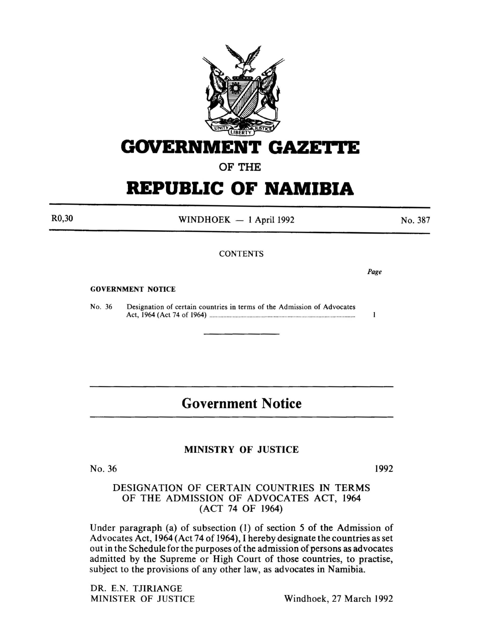

# GOVERNMENT GAZETTE

## OF THE

# **REPUBLIC OF NAMIBIA**

R0,30

WINDHOEK  $-1$  April 1992

No. 387

## **CONTENTS**

*Page* 

 $\mathbf{1}$ 

#### GOVERNMENT NOTICE

No. 36 Designation of certain countries in terms of the Admission of Advocates Act, 1964 (Act 74 of 1964) .............................................................................................. .

## **Government Notice**

## MINISTRY OF JUSTICE

No. 36

1992

### DESIGNATION OF CERTAIN COUNTRIES IN TERMS OF THE ADMISSION OF ADVOCATES ACT, 1964 (ACT 74 OF 1964)

Under paragraph (a) of subsection (1) of section *5* of the Admission of Advocates Act, 1964 (Act 74 of 1964), I hereby designate the countries as set out in the Schedule for the purposes of the admission of persons as advocates admitted by the Supreme or High Court of those countries, to practise, subject to the provisions of any other law, as advocates in Namibia.

DR. E.N. TJIRIANGE